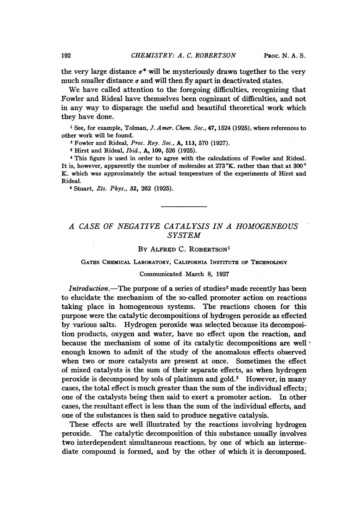the very large distance  $\sigma^*$  will be mysteriously drawn together to the very much smaller distance  $\sigma$  and will then fly apart in deactivated states.

We have called attention to the foregoing difficulties, recognizing that Fowler and Rideal have themselves been cognizant of difficulties, and not in any way to disparage the useful and beautiful theoretical work which they have done.

<sup>1</sup> See, for example, Tolman, J. Amer. Chem. Soc., 47, 1524 (1925), where references to other work will be found.

<sup>2</sup> Fowler and Rideal, Proc. Roy. Soc., A, 113, 570 (1927).

<sup>3</sup> Hirst and Rideal, *Ibid.*, **A**, 109, 526 (1925).

<sup>4</sup> This figure is used in order to agree with the calculations of Fowler and Rideal. It is, however, apparently the number of molecules at  $273^{\circ}K$ . rather than that at 300 $^{\circ}$ K. which was approximately the actual temperature of the experiments of Hirst and Rideal.

<sup>6</sup> Stuart, Zts. Phys., 32, 262 (1925).

## A CASE OF NEGA TIVE CA TAL YSIS IN A HOMOGENEOUS **SYSTEM**

## BY ALFRED C. ROBERTSON<sup>1</sup>

## GATES CHEMICAL LABORATORY, CALIFORNIA INSTITUTE OF TECHNOLOGY

## Communicated March 8, 1927

 $Introduction.$ —The purpose of a series of studies<sup>2</sup> made recently has been to elucidate the mechanism of the so-called promoter action on reactions taking place in homogeneous systems. The reactions chosen for this purpose were the catalytic decompositions of hydrogen peroxide as effected by various salts. Hydrogen peroxide was selected because its decomposition products, oxygen and water, have no effect upon the reaction, and because the mechanism of some of its catalytic decompositions are well enough known to admit of the study of the anomalous effects observed when two or more catalysts are present at once. Sometimes the effect of mixed catalysts is the sum of their separate effects, as when hydrogen peroxide is decomposed by sols of platinum and gold.<sup>3</sup> However, in many cases, the total effect is much greater than the sum of the individual effects; one of the catalysts being then said to exert a promoter action. In other cases, the resultant effect is less than the sum of the individual effects, and one of the substances is then said to produce negative catalysis.

These effects are well illustrated by the reactions involving hydrogen -peroxide. The catalytic decomposition of this substance usually involves two interdependent simultaneous reactions, by one of which an intermediate compound is formed, and by the other of which it is decomposed.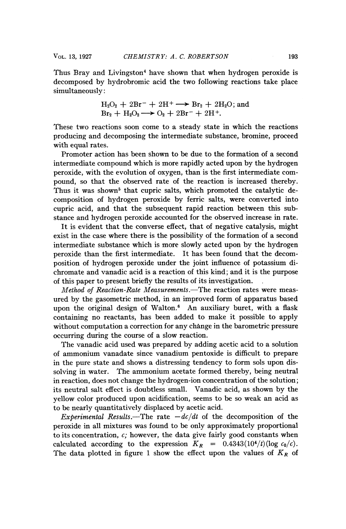Thus Bray and Livingston<sup>4</sup> have shown that when hydrogen peroxide is

decomposed by hydrobromic acid the two following reactions take place simultaneously:

$$
H_2O_2 + 2Br^- + 2H^+ \longrightarrow Br_2 + 2H_2O
$$
; and  

$$
Br_2 + H_2O_2 \longrightarrow O_2 + 2Br^- + 2H^+.
$$

These two reactions soon come to a steady state in which the reactions producing and decomposing the intermediate substance, bromine, proceed with equal rates.

Promoter action has been shown to be due to the formation of a second intermediate compound which is more rapidly acted upon by the hydrogen peroxide, with the evolution of oxygen, than is the first intermediate compound, so that the observed rate of the reaction is increased thereby. Thus it was shown<sup>5</sup> that cupric salts, which promoted the catalytic decomposition of hydrogen peroxide by ferric salts, were converted into cupric acid, and that the subsequent rapid reaction between this substance and hydrogen peroxide accounted for the observed increase in rate.

It is evident that the converse effect, that of negative catalysis, might exist in the case where there is the possibility of the formation of a second intermediate substance which is more slowly acted upon by the hydrogen peroxide than the first intermediate. It has been found that the decomposition of hydrogen peroxide under the joint influence of potassium dichromate and vanadic acid is a reaction of this kind; and it is the purpose of this paper to present briefly the results of its investigation.

Method of Reaction-Rate Measurements.-The reaction rates were measured by the gasometric method, in an improved form of apparatus based upon the original design of Walton.<sup>6</sup> An auxiliary buret, with a flask containing no reactants, has been added to make it possible to apply without computation a correction for any change in the barometric pressure occurring during the course of a slow reaction.

The vanadic acid used was prepared by adding acetic acid to a solution of ammonium vanadate since vanadium pentoxide is difficult to prepare in the pure state and shows a distressing tendency to form sols upon dissolving in water. The ammonium acetate formed thereby, being neutral in reaction, does not change the hydrogen-ion concentration of the solution; its neutral salt effect is doubtless small. Vanadic acid, as shown by the yellow color produced upon acidification, seems to be so weak an acid as to be nearly quantitatively displaced by acetic acid.

Experimental Results.—The rate  $-dc/dt$  of the decomposition of the peroxide in all mixtures was found to be only approximately proportional to its concentration,  $c$ ; however, the data give fairly good constants when calculated according to the expression  $K_R = 0.4343(10^4/t)(\log c_0/c)$ . The data plotted in figure 1 show the effect upon the values of  $K_R$  of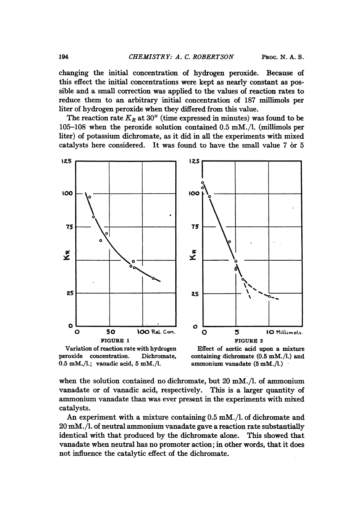changing the initial concentration of hydrogen peroxide. Because of this effect the initial concentrations were kept as nearly constant as possible and a small correction was applied to the values of reaction rates to reduce them to an arbitrary initial concentration of 187 millimols per liter of hydrogen peroxide when they differed from this value.

The reaction rate  $K_R$  at 30° (time expressed in minutes) was found to be 105-108 when the peroxide solution contained 0.5 mM./1. (millimols per liter) of potassium dichromate, as it did in all the experiments with mixed catalysts here considered. It was found to have the small value 7 or 5



Variation of reaction rate with hydrogen peroxide concentration. Dichromate, 0.5 mM./l.; vanadic acid, 5 mM./l.

Effect of acetic acid upon a mixture containing dichromate (0.5 mM./l.) and ammonium vanadate (5 mM./1.)

when the solution contained no dichromate, but 20 mM./l. of ammonium vanadate or of vanadic acid, respectively. This is a larger quantity of ammonium vanadate than was ever present in the experiments with mixed catalysts.

An experiment with a mixture containing 0.5 mM./l. of dichromate and 20 mM./l. of neutral ammonium vanadate gave a reaction rate substantially identical with that produced by the dichromate alone. This showed that vanadate when neutral has no promoter action; in other words, that it does not influence the catalytic effect of the dichromate.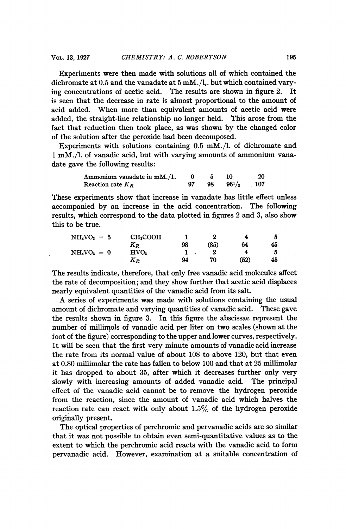Experiments were then made with solutions all of which contained the dichromate at 0.5 and the vanadate at 5 mM./l,. but which contained varying concentrations of acetic acid. The results are shown in figure 2. It is seen that the decrease in rate is almost proportional to the amount of acid added. When more than equivalent amounts of acetic acid were added, the straight-line relationship no longer held. This arose from the fact that reduction then took place, as was shown by the changed color of the solution after the peroxide had been decomposed.

Experiments with solutions containing 0.5 mM./l. of dichromate and <sup>1</sup> mM./l. of vanadic acid, but with varying amounts of ammonium vanadate gave the following results:

| Ammonium vanadate in $mM$ ./1. |  |                         | 20 |
|--------------------------------|--|-------------------------|----|
| Reaction rate $K_R$            |  | $98 \t 96^{1/2} \t 107$ |    |

These experiments show that increase in vanadate has little effect unless accompanied by an increase in the acid concentration. The followig results, which correspond to the data plotted in figures 2 and 3, also show this to be true.

| $NH4VO3 = 5$ | CH <sub>3</sub> COOH |    |      |      |    |
|--------------|----------------------|----|------|------|----|
|              | $K_R$                | 98 | (85) | 64   | 45 |
| $NH4VO3 = 0$ | HVO <sub>3</sub>     |    |      |      |    |
|              | $K_R$                | 94 | 70   | (52) | 45 |

The results indicate, therefore, that only free vanadic acid molecules affect the rate of decomposition; and they show further that acetic acid displaces nearly equivalent quantities of the vanadic acid from its salt.

A series of experiments was made with solutions containing the usual amount of dichromate and varying quantities of vanadic acid. These gave the results shown in figure 3. In this figure the abscissae represent the number of millimols of vanadic acid per liter on two scales (shown at the foot of the figure) corresponding to the upper and lower curves, respectively. It will be seen that the first very minute amounts of vanadic acid increase the rate from its normal value of about 108 to above 120, but that even at 0.80 millimolar the rate has fallen to below 100 and that at 25 millimolar it has dropped to about 35, after which it decreases further only very slowly with increasing amounts of added vanadic acid. The principal effect of the vanadic acid cannot be to remove the hydrogen peroxide from the reaction, since the amount of vanadic acid which halves the reaction rate can react with only about  $1.5\%$  of the hydrogen peroxide originally present.

The optical properties of perchromic and pervanadic acids are so similar that it was not possible to obtain even semi-quantitative values as to the extent to which the perchromic acid reacts with the vanadic acid to form pervanadic acid. However, examination at a suitable concentration of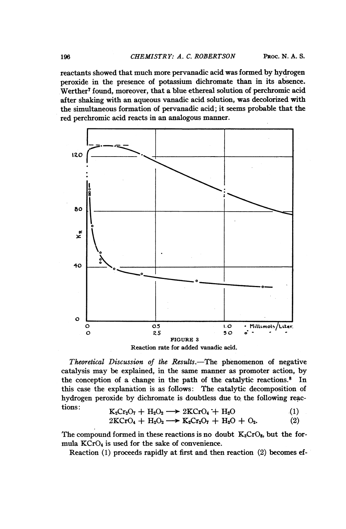reactants showed that much more pervanadic acid was formed by hydrogen peroxide in the presence of potassium dichromate than in its absence. Werther<sup>7</sup> found, moreover, that a blue ethereal solution of perchromic acid after shaking with an aqueous vanadic acid solution, was decolorized with the simultaneous formation of pervanadic acid; it seems probable that the red perchromic acid reacts in an analogous manner.



Theoretical Discussion of the Results.—The phenomenon of negative catalysis may be explained, in the same manner as promoter action, by the conception of a change in the path of the catalytic reactions.8 In this case the explanation is as follows: The, catalytic decomposition of hydrogen peroxide by dichromate is doubtless due to the following reactions:  $K_C C_r Q_r + H Q \longrightarrow 2K C_r Q_r + H Q$  (1)

$$
K_2Cr_2O_7 + H_2O_2 \longrightarrow 2KCrO_4 + H_2O
$$
\n
$$
2KCrO_4 + H_2O_2 \longrightarrow K_2Cr_2O_7 + H_2O + O_2.
$$
\n<sup>(1)</sup>

The compound formed in these reactions is no doubt  $K_3CrO_8$ , but the formula  $KCrO<sub>4</sub>$  is used for the sake of convenience.

Reaction (1) proceeds rapidly at first and then reaction (2) becomes ef-